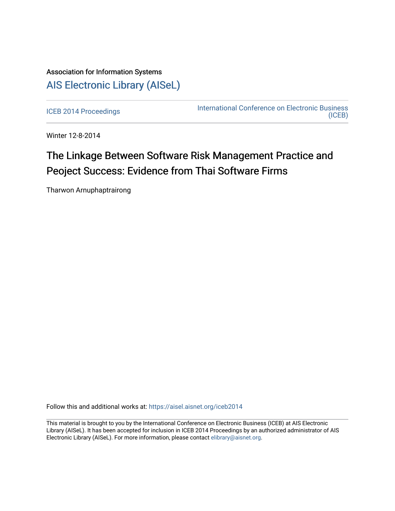# Association for Information Systems [AIS Electronic Library \(AISeL\)](https://aisel.aisnet.org/)

[ICEB 2014 Proceedings](https://aisel.aisnet.org/iceb2014) **International Conference on Electronic Business** [\(ICEB\)](https://aisel.aisnet.org/iceb) 

Winter 12-8-2014

# The Linkage Between Software Risk Management Practice and Peoject Success: Evidence from Thai Software Firms

Tharwon Arnuphaptrairong

Follow this and additional works at: [https://aisel.aisnet.org/iceb2014](https://aisel.aisnet.org/iceb2014?utm_source=aisel.aisnet.org%2Ficeb2014%2F15&utm_medium=PDF&utm_campaign=PDFCoverPages)

This material is brought to you by the International Conference on Electronic Business (ICEB) at AIS Electronic Library (AISeL). It has been accepted for inclusion in ICEB 2014 Proceedings by an authorized administrator of AIS Electronic Library (AISeL). For more information, please contact [elibrary@aisnet.org.](mailto:elibrary@aisnet.org%3E)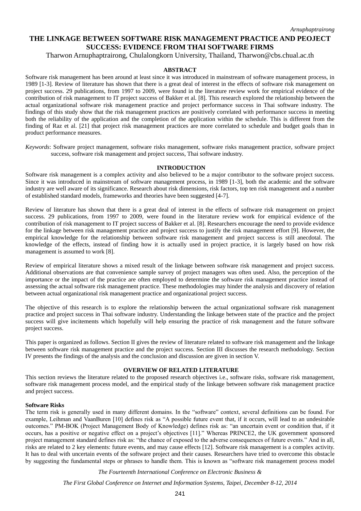# **THE LINKAGE BETWEEN SOFTWARE RISK MANAGEMENT PRACTICE AND PEOJECT SUCCESS: EVIDENCE FROM THAI SOFTWARE FIRMS**

Tharwon Arnuphaptrairong, Chulalongkorn University, Thailand, Tharwon@cbs.chual.ac.th

#### **ABSTRACT**

Software risk management has been around at least since it was introduced in mainstream of software management process, in 1989 [1-3]. Review of literature has shown that there is a great deal of interest in the effects of software risk management on project success. 29 publications, from 1997 to 2009, were found in the literature review work for empirical evidence of the contribution of risk management to IT project success of Bakker et al. [8]. This research explored the relationship between the actual organizational software risk management practice and project performance success in Thai software industry. The findings of this study show that the risk management practices are positively correlated with performance success in meeting both the reliability of the application and the completion of the application within the schedule. This is different from the finding of Raz et al. [21] that project risk management practices are more correlated to schedule and budget goals than in product performance measures.

*Keywords*: Software project management, software risks management, software risks management practice, software project success, software risk management and project success, Thai software industry.

#### **INTRODUCTION**

Software risk management is a complex activity and also believed to be a major contributor to the software project success. Since it was introduced in mainstream of software management process, in 1989 [1-3], both the academic and the software industry are well aware of its significance. Research about risk dimensions, risk factors, top ten risk management and a number of established standard models, frameworks and theories have been suggested [4-7].

Review of literature has shown that there is a great deal of interest in the effects of software risk management on project success. 29 publications, from 1997 to 2009, were found in the literature review work for empirical evidence of the contribution of risk management to IT project success of Bakker et al. [8]. Researchers encourage the need to provide evidence for the linkage between risk management practice and project success to justify the risk management effort [9]. However, the empirical knowledge for the relationship between software risk management and project success is still anecdotal. The knowledge of the effects, instead of finding how it is actually used in project practice, it is largely based on how risk management is assumed to work [8].

Review of empirical literature shows a mixed result of the linkage between software risk management and project success. Additional observations are that convenience sample survey of project managers was often used. Also, the perception of the importance or the impact of the practice are often employed to determine the software risk management practice instead of assessing the actual software risk management practice. These methodologies may hinder the analysis and discovery of relation between actual organizational risk management practice and organizational project success.

The objective of this research is to explore the relationship between the actual organizational software risk management practice and project success in Thai software industry. Understanding the linkage between state of the practice and the project success will give incitements which hopefully will help ensuring the practice of risk management and the future software project success.

This paper is organized as follows. Section II gives the review of literature related to software risk management and the linkage between software risk management practice and the project success. Section III discusses the research methodology. Section IV presents the findings of the analysis and the conclusion and discussion are given in section V.

# **OVERVIEW OF RELATED LITERATURE**

This section reviews the literature related to the proposed research objectives i.e., software risks, software risk management, software risk management process model, and the empirical study of the linkage between software risk management practice and project success.

#### **Software Risks**

The term risk is generally used in many different domains. In the "software" context, several definitions can be found. For example, Leihman and VaanBuren [10] defines risk as "A possible future event that, if it occurs, will lead to an undesirable outcomes." PM-BOK (Project Management Body of Knowledge) defines risk as: "an uncertain event or condition that, if it occurs, has a positive or negative effect on a project's objectives [11]." Whereas PRINCE2, the UK government sponsored project management standard defines risk as: "the chance of exposed to the adverse consequences of future events." And in all, risks are related to 2 key elements: future events, and may cause effects [12]. Software risk management is a complex activity. It has to deal with uncertain events of the software project and their causes. Researchers have tried to overcome this obstacle by suggesting the fundamental steps or phrases to handle them. This is known as "software risk management process model

*The Fourteenth International Conference on Electronic Business &*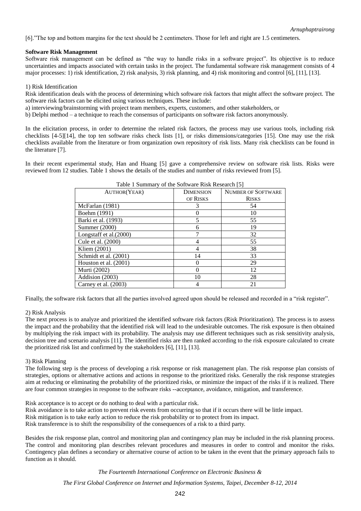[6]."The top and bottom margins for the text should be 2 centimeters. Those for left and right are 1.5 centimeters.

# **Software Risk Management**

Software risk management can be defined as "the way to handle risks in a software project". Its objective is to reduce uncertainties and impacts associated with certain tasks in the project. The fundamental software risk management consists of 4 major processes: 1) risk identification, 2) risk analysis, 3) risk planning, and 4) risk monitoring and control [6], [11], [13].

# 1) Risk Identification

Risk identification deals with the process of determining which software risk factors that might affect the software project. The software risk factors can be elicited using various techniques. These include:

a) interviewing/brainstorming with project team members, experts, customers, and other stakeholders, or

b) Delphi method – a technique to reach the consensus of participants on software risk factors anonymously.

In the elicitation process, in order to determine the related risk factors, the process may use various tools, including risk checklists [4-5][14], the top ten software risks check lists [1], or risks dimensions/categories [15]. One may use the risk checklists available from the literature or from organization own repository of risk lists. Many risk checklists can be found in the literature [7].

In their recent experimental study, Han and Huang [5] gave a comprehensive review on software risk lists. Risks were reviewed from 12 studies. Table 1 shows the details of the studies and number of risks reviewed from [5].

| Tuble 1 Building y of the Boltware Ribk Rebearen 191 |                  |                           |  |  |  |  |  |
|------------------------------------------------------|------------------|---------------------------|--|--|--|--|--|
| <b>AUTHOR(YEAR)</b>                                  | <b>DIMENSION</b> | <b>NUMBER OF SOFTWARE</b> |  |  |  |  |  |
|                                                      | OF RISKS         | <b>RISKS</b>              |  |  |  |  |  |
| McFarlan (1981)                                      | 3                | 54                        |  |  |  |  |  |
| Boehm (1991)                                         |                  | 10                        |  |  |  |  |  |
| Barki et al. (1993)                                  |                  | 55                        |  |  |  |  |  |
| Summer (2000)                                        |                  | 19                        |  |  |  |  |  |
| Longstaff et al. $(2000)$                            |                  | 32                        |  |  |  |  |  |
| Cule et al. (2000)                                   |                  | 55                        |  |  |  |  |  |
| Kliem (2001)                                         |                  | 38                        |  |  |  |  |  |
| Schmidt et al. (2001)                                | 14               | 33                        |  |  |  |  |  |
| Houston et al. (2001)                                |                  | 29                        |  |  |  |  |  |
| Murti (2002)                                         |                  | 12                        |  |  |  |  |  |
| Addision (2003)                                      | 10               | 28                        |  |  |  |  |  |
| Carney et al. (2003)                                 |                  | 21                        |  |  |  |  |  |

Table 1 Summary of the Software Risk Research [5]

Finally, the software risk factors that all the parties involved agreed upon should be released and recorded in a "risk register".

# 2) Risk Analysis

The next process is to analyze and prioritized the identified software risk factors (Risk Prioritization). The process is to assess the impact and the probability that the identified risk will lead to the undesirable outcomes. The risk exposure is then obtained by multiplying the risk impact with its probability. The analysis may use different techniques such as risk sensitivity analysis, decision tree and scenario analysis [11]. The identified risks are then ranked according to the risk exposure calculated to create the prioritized risk list and confirmed by the stakeholders [6], [11], [13].

#### 3) Risk Planning

The following step is the process of developing a risk response or risk management plan. The risk response plan consists of strategies, options or alternative actions and actions in response to the prioritized risks. Generally the risk response strategies aim at reducing or eliminating the probability of the prioritized risks, or minimize the impact of the risks if it is realized. There are four common strategies in response to the software risks --acceptance, avoidance, mitigation, and transference.

Risk acceptance is to accept or do nothing to deal with a particular risk.

Risk avoidance is to take action to prevent risk events from occurring so that if it occurs there will be little impact.

Risk mitigation is to take early action to reduce the risk probability or to protect from its impact.

Risk transference is to shift the responsibility of the consequences of a risk to a third party.

Besides the risk response plan, control and monitoring plan and contingency plan may be included in the risk planning process. The control and monitoring plan describes relevant procedures and measures in order to control and monitor the risks. Contingency plan defines a secondary or alternative course of action to be taken in the event that the primary approach fails to function as it should.

*The Fourteenth International Conference on Electronic Business &*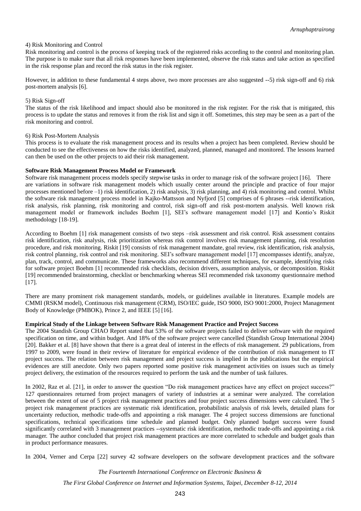# 4) Risk Monitoring and Control

Risk monitoring and control is the process of keeping track of the registered risks according to the control and monitoring plan. The purpose is to make sure that all risk responses have been implemented, observe the risk status and take action as specified in the risk response plan and record the risk status in the risk register.

However, in addition to these fundamental 4 steps above, two more processes are also suggested --5) risk sign-off and 6) risk post-mortem analysis [6].

#### 5) Risk Sign-off

The status of the risk likelihood and impact should also be monitored in the risk register. For the risk that is mitigated, this process is to update the status and removes it from the risk list and sign it off. Sometimes, this step may be seen as a part of the risk monitoring and control.

#### 6) Risk Post-Mortem Analysis

This process is to evaluate the risk management process and its results when a project has been completed. Review should be conducted to see the effectiveness on how the risks identified, analyzed, planned, managed and monitored. The lessons learned can then be used on the other projects to aid their risk management.

# **Software Risk Management Process Model or Framework**

Software risk management process models specify stepwise tasks in order to manage risk of the software project [16]. There are variations in software risk management models which usually center around the principle and practice of four major processes mentioned before –1) risk identification, 2) risk analysis, 3) risk planning, and 4) risk monitoring and control. Whilst the software risk management process model in Kajko-Mattsson and Nyfjord [5] comprises of 6 phrases --risk identification, risk analysis, risk planning, risk monitoring and control, risk sign-off and risk post-mortem analysis. Well known risk management model or framework includes Boehm [1], SEI's software management model [17] and Kontio's Riskit methodology [18-19].

According to Boehm [1] risk management consists of two steps –risk assessment and risk control. Risk assessment contains risk identification, risk analysis, risk prioritization whereas risk control involves risk management planning, risk resolution procedure, and risk monitoring. Riskit [19] consists of risk management mandate, goal review, risk identification, risk analysis, risk control planning, risk control and risk monitoring. SEI's software management model [17] encompasses identify, analyze, plan, track, control, and communicate. These frameworks also recommend different techniques, for example, identifying risks for software project Boehm [1] recommended risk checklists, decision drivers, assumption analysis, or decomposition. Riskit [19] recommended brainstorming, checklist or benchmarking whereas SEI recommended risk taxonomy questionnaire method [17].

There are many prominent risk management standards, models, or guidelines available in literatures. Example models are CMMI (RSKM model), Continuous risk management (CRM), ISO/IEC guide, ISO 9000, ISO 9001:2000, Project Management Body of Knowledge (PMBOK), Prince 2, and IEEE [5] [16].

#### **Empirical Study of the Linkage between Software Risk Management Practice and Project Success**

The 2004 Standish Group CHAO Report stated that 53% of the software projects failed to deliver software with the required specification on time, and within budget. And 18% of the software project were cancelled (Standish Group International 2004) [20]. Bakker et al. [8] have shown that there is a great deal of interest in the effects of risk management. 29 publications, from 1997 to 2009, were found in their review of literature for empirical evidence of the contribution of risk management to IT project success. The relation between risk management and project success is implied in the publications but the empirical evidences are still anecdote. Only two papers reported some positive risk management activities on issues such as timely project delivery, the estimation of the resources required to perform the task and the number of task failures.

In 2002, Raz et al. [21], in order to answer the question "Do risk management practices have any effect on project success?" 127 questionnaires returned from project managers of variety of industries at a seminar were analyzed. The correlation between the extent of use of 5 project risk management practices and four project success dimensions were calculated. The 5 project risk management practices are systematic risk identification, probabilistic analysis of risk levels, detailed plans for uncertainty reduction, methodic trade-offs and appointing a risk manager. The 4 project success dimensions are functional specifications, technical specifications time schedule and planned budget. Only planned budget success were found significantly correlated with 3 management practices --systematic risk identification, methodic trade-offs and appointing a risk manager. The author concluded that project risk management practices are more correlated to schedule and budget goals than in product performance measures.

In 2004, Verner and Cerpa [22] survey 42 software developers on the software development practices and the software

*The Fourteenth International Conference on Electronic Business &*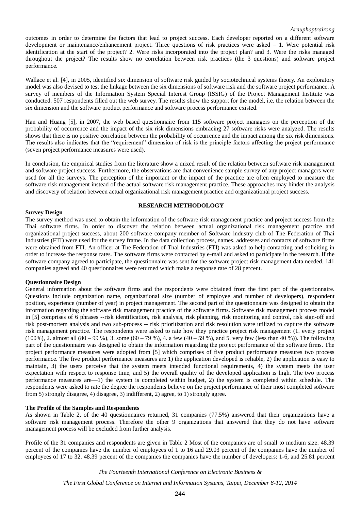#### *Arnuphaptrairong*

outcomes in order to determine the factors that lead to project success. Each developer reported on a different software development or maintenance/enhancement project. Three questions of risk practices were asked – 1. Were potential risk identification at the start of the project? 2. Were risks incorporated into the project plan? and 3. Were the risks managed throughout the project? The results show no correlation between risk practices (the 3 questions) and software project performance.

Wallace et al. [4], in 2005, identified six dimension of software risk guided by sociotechnical systems theory. An exploratory model was also devised to test the linkage between the six dimensions of software risk and the software project performance. A survey of members of the Information System Special Interest Group (ISSIG) of the Project Management Institute was conducted. 507 respondents filled out the web survey. The results show the support for the model, i.e. the relation between the six dimension and the software product performance and software process performance existed.

Han and Huang [5], in 2007, the web based questionnaire from 115 software project managers on the perception of the probability of occurrence and the impact of the six risk dimensions embracing 27 software risks were analyzed. The results shows that there is no positive correlation between the probability of occurrence and the impact among the six risk dimensions. The results also indicates that the "requirement" dimension of risk is the principle factors affecting the project performance (seven project performance measures were used).

In conclusion, the empirical studies from the literature show a mixed result of the relation between software risk management and software project success. Furthermore, the observations are that convenience sample survey of any project managers were used for all the surveys. The perception of the important or the impact of the practice are often employed to measure the software risk management instead of the actual software risk management practice. These approaches may hinder the analysis and discovery of relation between actual organizational risk management practice and organizational project success.

# **RESEARCH METHODOLOGY**

#### **Survey Design**

The survey method was used to obtain the information of the software risk management practice and project success from the Thai software firms. In order to discover the relation between actual organizational risk management practice and organizational project success, about 200 software company member of Software industry club of The Federation of Thai Industries (FTI) were used for the survey frame. In the data collection process, names, addresses and contacts of software firms were obtained from FTI. An officer at The Federation of Thai Industries (FTI) was asked to help contacting and soliciting in order to increase the response rates. The software firms were contacted by e-mail and asked to participate in the research. If the software company agreed to participate, the questionnaire was sent for the software project risk management data needed. 141 companies agreed and 40 questionnaires were returned which make a response rate of 28 percent.

#### **Questionnaire Design**

General information about the software firms and the respondents were obtained from the first part of the questionnaire. Questions include organization name, organizational size (number of employee and number of developers), respondent position, experience (number of year) in project management. The second part of the questionnaire was designed to obtain the information regarding the software risk management practice of the software firms. Software risk management process model in [5] comprises of 6 phrases --risk identification, risk analysis, risk planning, risk monitoring and control, risk sign-off and risk post-mortem analysis and two sub-process -- risk prioritization and risk resolution were utilized to capture the software risk management practice. The respondents were asked to rate how they practice project risk management (1. every project (100%), 2. almost all  $(80 - 99 \%)$ , 3. some  $(60 - 79 \%)$ , 4. a few  $(40 - 59 \%)$ , and 5. very few (less than 40 %)). The following part of the questionnaire was designed to obtain the information regarding the project performance of the software firms. The project performance measures were adopted from [5] which comprises of five product performance measures two process performance. The five product performance measures are 1) the application developed is reliable, 2) the application is easy to maintain, 3) the users perceive that the system meets intended functional requirements, 4) the system meets the user expectation with respect to response time, and 5) the overall quality of the developed application is high. The two process performance measures are—1) the system is completed within budget, 2) the system is completed within schedule. The respondents were asked to rate the degree the respondents believe on the project performance of their most completed software from 5) strongly disagree, 4) disagree, 3) indifferent, 2) agree, to 1) strongly agree.

#### **The Profile of the Samples and Respondents**

As shown in Table 2, of the 40 questionnaires returned, 31 companies (77.5%) answered that their organizations have a software risk management process. Therefore the other 9 organizations that answered that they do not have software management process will be excluded from further analysis.

Profile of the 31 companies and respondents are given in Table 2 Most of the companies are of small to medium size. 48.39 percent of the companies have the number of employees of 1 to 16 and 29.03 percent of the companies have the number of employees of 17 to 32. 48.39 percent of the companies the companies have the number of developers: 1-6, and 25.81 percent

*The Fourteenth International Conference on Electronic Business &*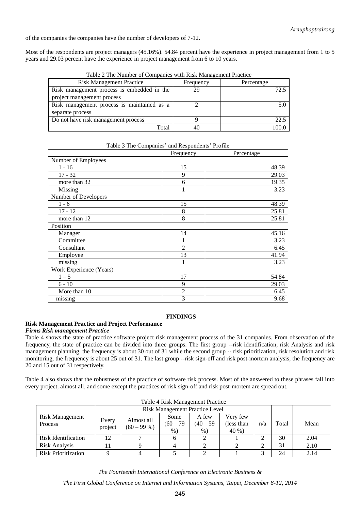of the companies the companies have the number of developers of 7-12.

Most of the respondents are project managers (45.16%). 54.84 percent have the experience in project management from 1 to 5 years and 29.03 percent have the experience in project management from 6 to 10 years.

| <b>Risk Management Practice</b>            | Frequency | Percentage |
|--------------------------------------------|-----------|------------|
| Risk management process is embedded in the | 29        | 72. '      |
| project management process                 |           |            |
| Risk management process is maintained as a |           |            |
| separate process                           |           |            |
| Do not have risk management process        |           | 22.        |
| Total                                      | 40        |            |
|                                            |           |            |

Table 2 The Number of Companies with Risk Management Practice

| Table 3 The Companies and Respondents Profile |            |
|-----------------------------------------------|------------|
| Frequency                                     | Percentage |
|                                               |            |
| 15                                            | 48.39      |
| 9                                             | 29.03      |
| 6                                             | 19.35      |
| 1                                             | 3.23       |
|                                               |            |
| 15                                            | 48.39      |
| 8                                             | 25.81      |
| 8                                             | 25.81      |
|                                               |            |
| 14                                            | 45.16      |
| 1                                             | 3.23       |
| $\overline{2}$                                | 6.45       |
| 13                                            | 41.94      |
| 1                                             | 3.23       |
|                                               |            |
| 17                                            | 54.84      |
| 9                                             | 29.03      |
| $\overline{2}$                                | 6.45       |
| 3                                             | 9.68       |
|                                               |            |

Table 3 The Companies' and Respondents' Profile

# **FINDINGS**

# **Risk Management Practice and Project Performance**

# *Firms Risk management Practice*

Table 4 shows the state of practice software project risk management process of the 31 companies. From observation of the frequency, the state of practice can be divided into three groups. The first group --risk identification, risk Analysis and risk management planning, the frequency is about 30 out of 31 while the second group -- risk prioritization, risk resolution and risk monitoring, the frequency is about 25 out of 31. The last group --risk sign-off and risk post-mortem analysis, the frequency are 20 and 15 out of 31 respectively.

Table 4 also shows that the robustness of the practice of software risk process. Most of the answered to these phrases fall into every project, almost all, and some except the practices of risk sign-off and risk post-mortem are spread out.

| Table 4 Risk Management Practice  |                  |                            |                                       |                               |                                  |     |       |      |
|-----------------------------------|------------------|----------------------------|---------------------------------------|-------------------------------|----------------------------------|-----|-------|------|
|                                   |                  |                            | <b>Risk Management Practice Level</b> |                               |                                  |     |       |      |
| <b>Risk Management</b><br>Process | Every<br>project | Almost all<br>$(80 - 99%)$ | Some<br>$(60 - 79)$<br>$%$ )          | A few<br>$(40 - 59)$<br>$%$ ) | Very few<br>(less than)<br>40 %) | n/a | Total | Mean |
| Risk Identification               | 12               |                            |                                       |                               |                                  |     | 30    | 2.04 |
| <b>Risk Analysis</b>              |                  |                            |                                       |                               |                                  |     | 31    | 2.10 |
| <b>Risk Prioritization</b>        |                  |                            |                                       |                               |                                  |     | 24    | 2.14 |

 $T_{\text{max}}$   $\mathbf{r}$   $\mathbf{r}$   $\mathbf{r}$ 

*The Fourteenth International Conference on Electronic Business &*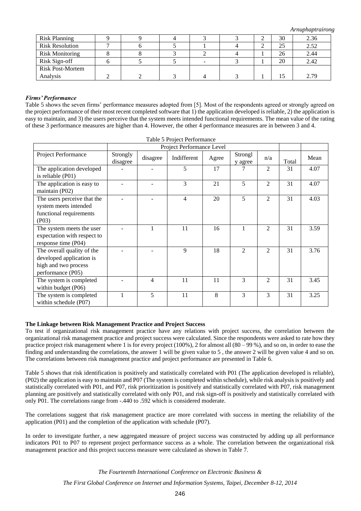*Arnuphaptrairong*

| <b>Risk Planning</b>    |  |  |  | 30 | 2.36 |
|-------------------------|--|--|--|----|------|
| <b>Risk Resolution</b>  |  |  |  | 25 | 2.52 |
| <b>Risk Monitoring</b>  |  |  |  | 26 | 2.44 |
| Risk Sign-off           |  |  |  | 20 | 2.42 |
| <b>Risk Post-Mortem</b> |  |  |  |    |      |
| Analysis                |  |  |  |    | 2.79 |

# *Firms' Performance*

Table 5 shows the seven firms' performance measures adopted from [5]. Most of the respondents agreed or strongly agreed on the project performance of their most recent completed software that 1) the application developed is reliable, 2) the application is easy to maintain, and 3) the users perceive that the system meets intended functional requirements. The mean value of the rating of these 3 performance measures are higher than 4. However, the other 4 performance measures are in between 3 and 4.

 $T$ . 1.1.  $\in$   $D_{\text{ext}}$   $\in$   $D_{\text{ext}}$   $\in$   $C_{\text{ext}}$ 

| Table 5 Project Periormance                                                                         |                      |                           |                |       |                    |                |       |      |
|-----------------------------------------------------------------------------------------------------|----------------------|---------------------------|----------------|-------|--------------------|----------------|-------|------|
|                                                                                                     |                      | Project Performance Level |                |       |                    |                |       |      |
| Project Performance                                                                                 | Strongly<br>disagree | disagree                  | Indifferent    | Agree | Strongl<br>y agree | n/a            | Total | Mean |
| The application developed<br>is reliable (P01)                                                      |                      |                           | 5              | 17    |                    | 2              | 31    | 4.07 |
| The application is easy to<br>maintain (P02)                                                        |                      |                           | 3              | 21    | 5                  | 2              | 31    | 4.07 |
| The users perceive that the<br>system meets intended<br>functional requirements<br>( P03)           |                      |                           | $\overline{4}$ | 20    | 5                  | 2              | 31    | 4.03 |
| The system meets the user<br>expectation with respect to<br>response time (P04)                     |                      |                           | 11             | 16    | 1                  | 2              | 31    | 3.59 |
| The overall quality of the<br>developed application is<br>high and two process<br>performance (P05) |                      |                           | 9              | 18    | $\overline{2}$     | $\overline{2}$ | 31    | 3.76 |
| The system is completed<br>within budget (P06)                                                      |                      | 4                         | 11             | 11    | 3                  | $\mathfrak{D}$ | 31    | 3.45 |
| The system is completed<br>within schedule (P07)                                                    | 1                    | 5                         | 11             | 8     | 3                  | 3              | 31    | 3.25 |

# **The Linkage between Risk Management Practice and Project Success**

To test if organizational risk management practice have any relations with project success, the correlation between the organizational risk management practice and project success were calculated. Since the respondents were asked to rate how they practice project risk management where 1 is for every project (100%), 2 for almost all (80 – 99 %), and so on, in order to ease the finding and understanding the correlations, the answer 1 will be given value to 5 , the answer 2 will be given value 4 and so on. The correlations between risk management practice and project performance are presented in Table 6.

Table 5 shows that risk identification is positively and statistically correlated with P01 (The application developed is reliable), (P02) the application is easy to maintain and P07 (The system is completed within schedule), while risk analysis is positively and statistically correlated with P01, and P07, risk prioritization is positively and statistically correlated with P07, risk management planning are positively and statistically correlated with only P01, and risk sign-off is positively and statistically correlated with only P01. The correlations range from -.440 to .592 which is considered moderate.

The correlations suggest that risk management practice are more correlated with success in meeting the reliability of the application (P01) and the completion of the application with schedule (P07).

In order to investigate further, a new aggregated measure of project success was constructed by adding up all performance indicators P01 to P07 to represent project performance success as a whole. The correlation between the organizational risk management practice and this project success measure were calculated as shown in Table 7.

> *The Fourteenth International Conference on Electronic Business & The First Global Conference on Internet and Information Systems, Taipei, December 8-12, 2014*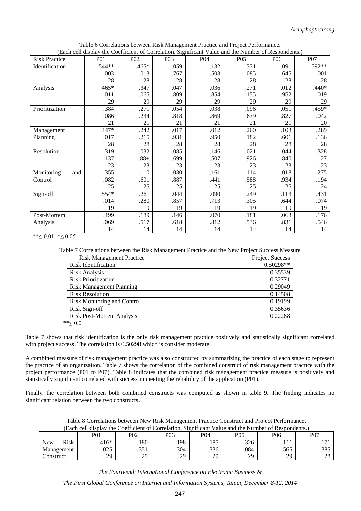| (Each ceil display the Coefficient of Correlation, Significant Value and the Number of Respondents.) |            |            |                  |            |                 |                 |            |
|------------------------------------------------------------------------------------------------------|------------|------------|------------------|------------|-----------------|-----------------|------------|
| <b>Risk Practice</b>                                                                                 | <b>PO1</b> | <b>P02</b> | P <sub>0</sub> 3 | <b>P04</b> | P <sub>05</sub> | P <sub>06</sub> | <b>P07</b> |
| Identification                                                                                       | .544**     | .465*      | .059             | .132       | .331            | .091            | .592**     |
|                                                                                                      | .003       | .013       | .767             | .503       | .085            | .645            | .001       |
|                                                                                                      | 28         | 28         | 28               | 28         | 28              | 28              | 28         |
| Analysis                                                                                             | .465*      | .347       | .047             | .036       | .271            | .012            | $.440*$    |
|                                                                                                      | .011       | .065       | .809             | .854       | .155            | .952            | .019       |
|                                                                                                      | 29         | 29         | 29               | 29         | 29              | 29              | 29         |
| Prioritization                                                                                       | .384       | .271       | .054             | .038       | .096            | .051            | .459*      |
|                                                                                                      | .086       | .234       | .818             | .869       | .679            | .827            | .042       |
|                                                                                                      | 21         | 21         | 21               | 21         | 21              | 21              | 20         |
| Management                                                                                           | .447*      | .242       | .017             | .012       | .260            | .103            | .289       |
| Planning                                                                                             | .017       | .215       | .931             | .950       | .182            | .601            | .136       |
|                                                                                                      | 28         | 28         | 28               | 28         | 28              | 28              | 28         |
| Resolution                                                                                           | .319       | .032       | .085             | .146       | .021            | .044            | .328       |
|                                                                                                      | .137       | $.88+$     | .699             | .507       | .926            | .840            | .127       |
|                                                                                                      | 23         | 23         | 23               | 23         | 23              | 23              | 23         |
| Monitoring<br>and                                                                                    | .355       | .110       | .030             | .161       | .114            | .018            | .275       |
| Control                                                                                              | .082       | .601       | .887             | .441       | .588            | .934            | .194       |
|                                                                                                      | 25         | 25         | 25               | 25         | 25              | 25              | 24         |
| Sign-off                                                                                             | .554*      | .261       | .044             | .090       | .249            | .113            | .431       |
|                                                                                                      | .014       | .280       | .857             | .713       | .305            | .644            | .074       |
|                                                                                                      | 19         | 19         | 19               | 19         | 19              | 19              | 19         |
| Post-Mortem                                                                                          | .499       | .189       | .146             | .070       | .181            | .063            | .176       |
| Analysis                                                                                             | .069       | .517       | .618             | .812       | .536            | .831            | .546       |
|                                                                                                      | 14         | 14         | 14               | 14         | 14              | 14              | 14         |

Table 6 Correlations between Risk Management Practice and Project Performance. (Each cell display the Coefficient of Correlation, Significant Value and the Number of Respondents.)

\*\* $\leq 0.01$ , \* $\leq 0.05$ 

Table 7 Correlations between the Risk Management Practice and the New Project Success Measure

| <b>Risk Management Practice</b>    | <b>Project Success</b> |
|------------------------------------|------------------------|
| Risk Identification                | 0.50298**              |
| <b>Risk Analysis</b>               | 0.35539                |
| <b>Risk Prioritization</b>         | 0.32771                |
| <b>Risk Management Planning</b>    | 0.29049                |
| <b>Risk Resolution</b>             | 0.14508                |
| <b>Risk Monitoring and Control</b> | 0.19199                |
| Risk Sign-off                      | 0.35636                |
| <b>Risk Post-Mortem Analysis</b>   | 0.22288                |
| ** $< 0.0$                         |                        |

Table 7 shows that risk identification is the only risk management practice positively and statistically significant correlated with project success. The correlation is 0.50298 which is consider moderate.

A combined measure of risk management practice was also constructed by summarizing the practice of each stage to represent the practice of an organization. Table 7 shows the correlation of the combined construct of risk management practice with the project performance (P01 to P07). Table 8 indicates that the combined risk management practice measure is positively and statistically significant correlated with success in meeting the reliability of the application (P01).

Finally, the correlation between both combined constructs was computed as shown in table 9. The finding indicates no significant relation between the two constructs.

Table 8 Correlations between New Risk Management Practice Construct and Project Performance. (Each cell display the Coefficient of Correlation, Significant Value and the Number of Respondents.)

|                           | P <sub>0</sub> 1 | P <sub>0</sub> 2 | P03  | P <sub>0</sub> 4 | P05  | P <sub>06</sub> | P07                                 |
|---------------------------|------------------|------------------|------|------------------|------|-----------------|-------------------------------------|
| <b>Risk</b><br><b>New</b> | $.416*$          | .180             | .198 | .185             | .326 | .               | $\overline{ }$<br>$\cdot$ . $\cdot$ |
| Management                | .025             | 251<br>. JJ 1    | .304 | .336             | .084 | .565            | .385                                |
| Construct                 | 29               | 29               | 29   | 29               | 29   | 29              | ററ<br>20                            |

*The Fourteenth International Conference on Electronic Business &*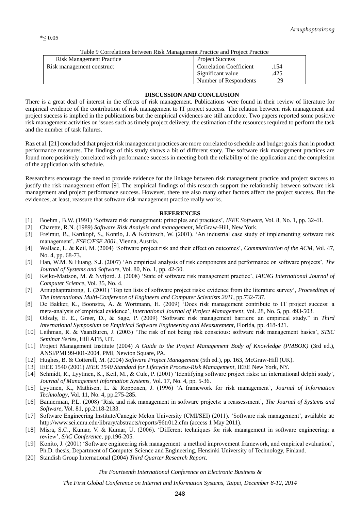| Tuolo 7 Collonatolio oven een ruon management Fraville and Frojeve Fraville |  |  |  |  |  |
|-----------------------------------------------------------------------------|--|--|--|--|--|
| <b>Project Success</b>                                                      |  |  |  |  |  |
| <b>Correlation Coefficient</b><br>154                                       |  |  |  |  |  |
| Significant value<br>.425                                                   |  |  |  |  |  |
| Number of Respondents<br>29                                                 |  |  |  |  |  |
|                                                                             |  |  |  |  |  |

Table 9 Correlations between Risk Management Practice and Project Practice

# **DISCUSSION AND CONCLUSION**

There is a great deal of interest in the effects of risk management. Publications were found in their review of literature for empirical evidence of the contribution of risk management to IT project success. The relation between risk management and project success is implied in the publications but the empirical evidences are still anecdote. Two papers reported some positive risk management activities on issues such as timely project delivery, the estimation of the resources required to perform the task and the number of task failures.

Raz et al. [21] concluded that project risk management practices are more correlated to schedule and budget goals than in product performance measures. The findings of this study shows a bit of different story. The software risk management practices are found more positively correlated with performance success in meeting both the reliability of the application and the completion of the application with schedule.

Researchers encourage the need to provide evidence for the linkage between risk management practice and project success to justify the risk management effort [9]. The empirical findings of this research support the relationship between software risk management and project performance success. However, there are also many other factors affect the project success. But the evidences, at least, reassure that software risk management practice really works.

# **REFERENCES**

- [1] Boehm , B.W. (1991) 'Software risk management: principles and practices', *IEEE Software*, Vol. 8, No. 1, pp. 32-41.
- [2] Charette, R.N. (1989) *Software Risk Analysis and management*, McGraw-Hill, New York.
- [3] Freimut, B., Kartkopf, S., Kontio, J. & Kobitzsch, W. (2001). 'An industrial case study of implementing software risk management', *ESEC/FSE 2001*, Vienna, Austria.
- [4] Wallace, L. & Keil, M. (2004) 'Software project risk and their effect on outcomes', *Communication of the ACM*, Vol. 47, No. 4, pp. 68-73.
- [5] Han, W.M. & Huang, S.J. (2007) 'An empirical analysis of risk components and performance on software projects', *The Journal of Systems and Software*, Vol. 80, No. 1, pp. 42-50.
- [6] Kejko-Mattson, M. & Nyfjord. J. (2008) 'State of software risk management practice', *IAENG International Journal of Computer Science*, Vol. 35, No. 4.
- [7] Arnuphaptrairong, T. (2001) 'Top ten lists of software project risks: evidence from the literature survey', *Proceedings of The International Multi-Conference of Engineers and Computer Scientists 2011*, pp.732-737.
- [8] De Bakker, K., Boonstra, A. & Wortmann, H. (2009) 'Does risk management contribute to IT project success: a meta-analysis of empirical evidence', *International Journal of Project Management*, Vol. 28, No. 5, pp. 493-503.
- [9] Odzaly, E. E., Greer, D., & Sage, P. (2009) 'Software risk management barriers: an empirical study." in *Third International Symposium on Empirical Software Engineering and Measurement*, Florida, pp. 418-421.
- [10] Leihman, R. & VaanBuren, J. (2003) 'The risk of not being risk conscious: software risk management basics', *STSC Seminar Series*, Hill AFB, UT.
- [11] Project Management Institute (2004) *A Guide to the Project Management Body of Knowledge (PMBOK)* (3rd ed.), ANSI/PMI 99-001-2004, PMI, Newton Square, PA.
- [12] Hughes, B. & Cotterell, M. (2004) *Software Project Management* (5th ed.), pp. 163, McGraw-Hill (UK).
- [13] IEEE 1540 (2001) *IEEE 1540 Standard for Lifecycle Process-Risk Management*, IEEE New York, NY.
- [14] Schmidt, R., Lyytinen, K., Keil, M., & Cule, P. (2001) 'Identifying software project risks: an international delphi study', *Journal of Management Information Systems*, Vol. 17, No. 4, pp. 5-36.
- [15] Lyytinen, K., Mathisen, L. & Ropponen, J. (1996) 'A framework for risk management', *Journal of Information Technology*, Vol. 11, No. 4, pp.275-285.
- [16] Bannerman, P.L. (2008) 'Risk and risk management in software projects: a reassessment', *The Journal of Systems and Software*, Vol. 81, pp.2118-2133.
- [17] Software Engineering Institute/Canegie Melon University (CMI/SEI) (2011). 'Software risk management', available at: http://www.sei.cmu.edu/library/abstracts/reports/96tr012.cfm (access 1 May 2011).
- [18] Misra, S.C., Kumar, V. & Kumar, U. (2006). 'Different techniques for risk management in software engineering: a review', *SAC Conference*, pp.196-205.
- [19] Konito, J. (2001) 'Software engineering risk management: a method improvement framework, and empirical evaluation', Ph.D. thesis, Department of Computer Science and Engineering, Hensinki University of Technology, Finland.
- [20] Standish Group International (2004) *Third Quarter Research Report*.

*The Fourteenth International Conference on Electronic Business &*